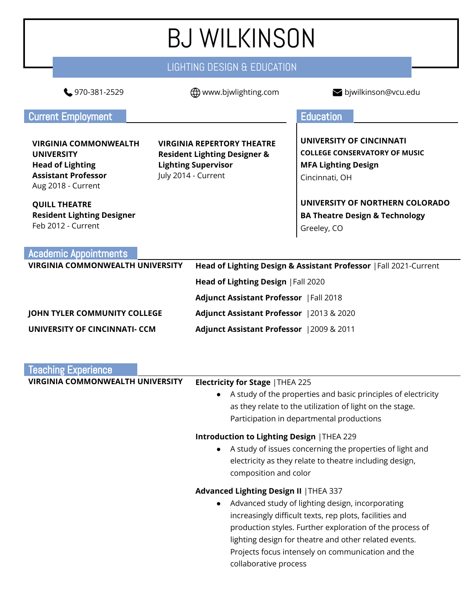### BJ WILKINSON LIGHTING DESIGN & EDUCATION 970-381-2529 www.bjwlighting.com bjwilkinson@vcu.edu **Current Employment Exercise Education VIRGINIA COMMONWEALTH UNIVERSITY Head of Lighting Assistant Professor** Aug 2018 - Current **VIRGINIA REPERTORY THEATRE Resident Lighting Designer & Lighting Supervisor** July 2014 - Current **QUILL THEATRE Resident Lighting Designer** Feb 2012 - Current **UNIVERSITY OF CINCINNATI COLLEGE CONSERVATORY OF MUSIC MFA Lighting Design** Cincinnati, OH **UNIVERSITY OF NORTHERN COLORADO BA Theatre Design & Technology** Greeley, CO Academic Appointments **VIRGINIA COMMONWEALTH UNIVERSITY Head of Lighting Design & Assistant Professor** |Fall 2021-Current **Head of Lighting Design** |Fall 2020 **Adjunct Assistant Professor** |Fall 2018 **JOHN TYLER COMMUNITY COLLEGE Adjunct Assistant Professor** |2013 & 2020

**UNIVERSITY OF CINCINNATI- CCM Adjunct Assistant Professor** |2009 & 2011

| <b>Teaching Experience</b>       |                                                                                                                                                                                                                                                                                                                                              |
|----------------------------------|----------------------------------------------------------------------------------------------------------------------------------------------------------------------------------------------------------------------------------------------------------------------------------------------------------------------------------------------|
| VIRGINIA COMMONWEALTH UNIVERSITY | <b>Electricity for Stage   THEA 225</b><br>A study of the properties and basic principles of electricity<br>$\bullet$<br>as they relate to the utilization of light on the stage.<br>Participation in departmental productions                                                                                                               |
|                                  | Introduction to Lighting Design   THEA 229<br>A study of issues concerning the properties of light and<br>$\bullet$<br>electricity as they relate to theatre including design,<br>composition and color                                                                                                                                      |
|                                  | Advanced Lighting Design II   THEA 337<br>Advanced study of lighting design, incorporating<br>$\bullet$<br>increasingly difficult texts, rep plots, facilities and<br>production styles. Further exploration of the process of<br>lighting design for theatre and other related events.<br>Projects focus intensely on communication and the |

collaborative process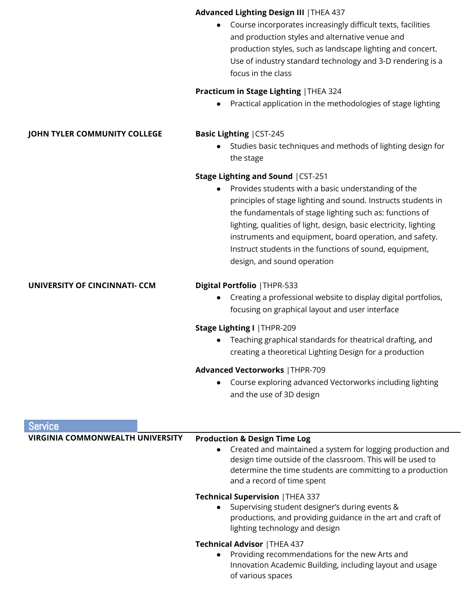|                                     | <b>Advanced Lighting Design III   THEA 437</b>                                                                               |
|-------------------------------------|------------------------------------------------------------------------------------------------------------------------------|
|                                     | Course incorporates increasingly difficult texts, facilities                                                                 |
|                                     | and production styles and alternative venue and                                                                              |
|                                     | production styles, such as landscape lighting and concert.                                                                   |
|                                     | Use of industry standard technology and 3-D rendering is a<br>focus in the class                                             |
|                                     |                                                                                                                              |
|                                     | Practicum in Stage Lighting   THEA 324                                                                                       |
|                                     | Practical application in the methodologies of stage lighting                                                                 |
| <b>JOHN TYLER COMMUNITY COLLEGE</b> | <b>Basic Lighting   CST-245</b>                                                                                              |
|                                     | Studies basic techniques and methods of lighting design for                                                                  |
|                                     | the stage                                                                                                                    |
|                                     | <b>Stage Lighting and Sound   CST-251</b>                                                                                    |
|                                     | Provides students with a basic understanding of the                                                                          |
|                                     | principles of stage lighting and sound. Instructs students in                                                                |
|                                     | the fundamentals of stage lighting such as: functions of                                                                     |
|                                     | lighting, qualities of light, design, basic electricity, lighting<br>instruments and equipment, board operation, and safety. |
|                                     | Instruct students in the functions of sound, equipment,                                                                      |
|                                     | design, and sound operation                                                                                                  |
| UNIVERSITY OF CINCINNATI- CCM       | Digital Portfolio   THPR-533                                                                                                 |
|                                     | Creating a professional website to display digital portfolios,                                                               |
|                                     | focusing on graphical layout and user interface                                                                              |
|                                     | Stage Lighting I   THPR-209                                                                                                  |
|                                     | Teaching graphical standards for theatrical drafting, and                                                                    |
|                                     | creating a theoretical Lighting Design for a production                                                                      |
|                                     | <b>Advanced Vectorworks   THPR-709</b>                                                                                       |
|                                     | Course exploring advanced Vectorworks including lighting                                                                     |
|                                     | and the use of 3D design                                                                                                     |
|                                     |                                                                                                                              |

| <b>Service</b>                          |                                                                                                                                                                                                                                                                 |
|-----------------------------------------|-----------------------------------------------------------------------------------------------------------------------------------------------------------------------------------------------------------------------------------------------------------------|
| <b>VIRGINIA COMMONWEALTH UNIVERSITY</b> | <b>Production &amp; Design Time Log</b><br>Created and maintained a system for logging production and<br>design time outside of the classroom. This will be used to<br>determine the time students are committing to a production<br>and a record of time spent |
|                                         | <b>Technical Supervision   THEA 337</b><br>Supervising student designer's during events &<br>productions, and providing guidance in the art and craft of<br>lighting technology and design                                                                      |
|                                         | <b>Technical Advisor   THEA 437</b><br>Providing recommendations for the new Arts and<br>Innovation Academic Building, including layout and usage<br>of various spaces                                                                                          |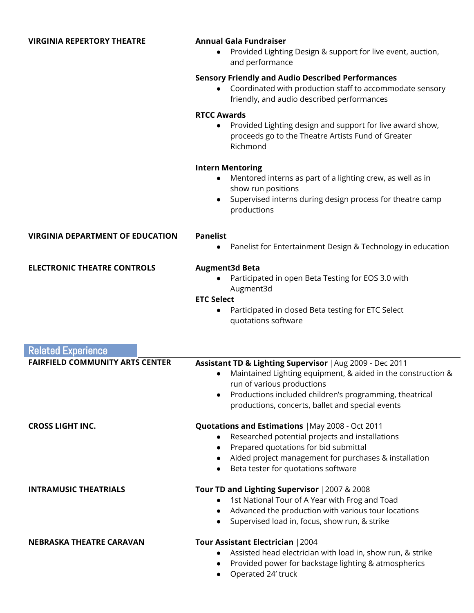| $\bullet$                       | Provided Lighting Design & support for live event, auction,<br>and performance                                                                                       |
|---------------------------------|----------------------------------------------------------------------------------------------------------------------------------------------------------------------|
|                                 | <b>Sensory Friendly and Audio Described Performances</b><br>• Coordinated with production staff to accommodate sensory<br>friendly, and audio described performances |
| <b>RTCC Awards</b><br>$\bullet$ | Provided Lighting design and support for live award show,<br>proceeds go to the Theatre Artists Fund of Greater<br>Richmond                                          |
|                                 | <b>Intern Mentoring</b>                                                                                                                                              |

**VIRGINIA REPERTORY THEATRE Annual Gala Fundraiser**

- Mentored interns as part of a lighting crew, as well as in show run positions
- Supervised interns during design process for theatre camp productions

| <b>VIRGINIA DEPARTMENT OF EDUCATION</b> | <b>Panelist</b><br>• Panelist for Entertainment Design & Technology in education           |
|-----------------------------------------|--------------------------------------------------------------------------------------------|
| <b>ELECTRONIC THEATRE CONTROLS</b>      | <b>Augment3d Beta</b><br>• Participated in open Beta Testing for EOS 3.0 with<br>Augment3d |
|                                         | <b>ETC Select</b>                                                                          |
|                                         | Participated in closed Beta testing for ETC Select<br>$\bullet$                            |

quotations software

| <b>Related Experience</b>              |                                                                                                                                                                                                                                                                                                 |
|----------------------------------------|-------------------------------------------------------------------------------------------------------------------------------------------------------------------------------------------------------------------------------------------------------------------------------------------------|
| <b>FAIRFIELD COMMUNITY ARTS CENTER</b> | Assistant TD & Lighting Supervisor   Aug 2009 - Dec 2011<br>Maintained Lighting equipment, & aided in the construction &<br>$\bullet$<br>run of various productions<br>Productions included children's programming, theatrical<br>$\bullet$<br>productions, concerts, ballet and special events |
| <b>CROSS LIGHT INC.</b>                | <b>Quotations and Estimations   May 2008 - Oct 2011</b><br>Researched potential projects and installations<br>Prepared quotations for bid submittal<br>Aided project management for purchases & installation<br>Beta tester for quotations software                                             |
| <b>INTRAMUSIC THEATRIALS</b>           | Tour TD and Lighting Supervisor   2007 & 2008<br>1st National Tour of A Year with Frog and Toad<br>Advanced the production with various tour locations<br>Supervised load in, focus, show run, & strike                                                                                         |
| <b>NEBRASKA THEATRE CARAVAN</b>        | Tour Assistant Electrician   2004<br>Assisted head electrician with load in, show run, & strike<br>Provided power for backstage lighting & atmospherics<br>Operated 24' truck                                                                                                                   |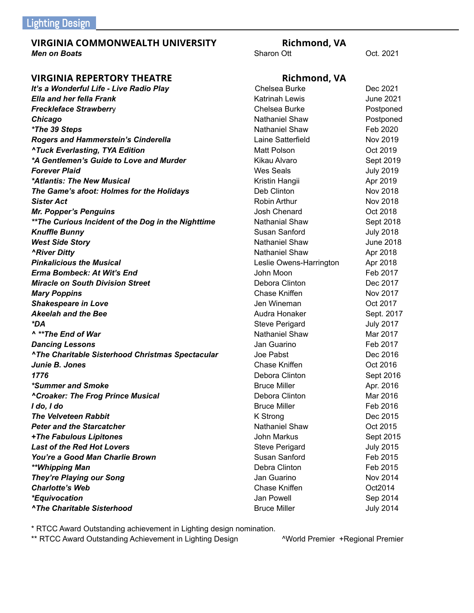### **VIRGINIA COMMONWEALTH UNIVERSITY Richmond, VA**<br>Men on Boats<br>Sharon Ott **Men on Boats** Controllering Controllering Controllering Sharon Ott Controllering Oct. 2021

# **VIRGINIA REPERTORY THEATRE Rich**

| It's a Wonderful Life - Live Radio Play                 | Chelsea Burke           | Dec 2021         |
|---------------------------------------------------------|-------------------------|------------------|
| Ella and her fella Frank                                | <b>Katrinah Lewis</b>   | <b>June 2021</b> |
| <b>Freckleface Strawberry</b>                           | Chelsea Burke           | Postponed        |
| Chicago                                                 | <b>Nathaniel Shaw</b>   | Postponed        |
| *The 39 Steps                                           | <b>Nathaniel Shaw</b>   | Feb 2020         |
| <b>Rogers and Hammerstein's Cinderella</b>              | Laine Satterfield       | Nov 2019         |
| <b>^Tuck Everlasting, TYA Edition</b>                   | Matt Polson             | Oct 2019         |
| *A Gentlemen's Guide to Love and Murder                 | Kikau Alvaro            | Sept 2019        |
| Forever Plaid                                           | <b>Wes Seals</b>        | <b>July 2019</b> |
| *Atlantis: The New Musical                              | Kristin Hangii          | Apr 2019         |
| The Game's afoot: Holmes for the Holidays               | Deb Clinton             | Nov 2018         |
| <b>Sister Act</b>                                       | Robin Arthur            | Nov 2018         |
| <b>Mr. Popper's Penguins</b>                            | Josh Chenard            | Oct 2018         |
| **The Curious Incident of the Dog in the Nighttime      | Nathanial Shaw          | Sept 2018        |
| <b>Knuffle Bunny</b>                                    | Susan Sanford           | <b>July 2018</b> |
| <b>West Side Story</b>                                  | <b>Nathaniel Shaw</b>   | <b>June 2018</b> |
| <b>ARiver Ditty</b>                                     | Nathaniel Shaw          | Apr 2018         |
| <b>Pinkalicious the Musical</b>                         | Leslie Owens-Harrington | Apr 2018         |
| Erma Bombeck: At Wit's End                              | John Moon               | Feb 2017         |
| <b>Miracle on South Division Street</b>                 | Debora Clinton          | Dec 2017         |
| <b>Mary Poppins</b>                                     | <b>Chase Kniffen</b>    | Nov 2017         |
| <b>Shakespeare in Love</b>                              | Jen Wineman             | Oct 2017         |
| Akeelah and the Bee                                     | Audra Honaker           | Sept. 2017       |
| *DA                                                     | <b>Steve Perigard</b>   | <b>July 2017</b> |
| ^ ** The End of War                                     | <b>Nathaniel Shaw</b>   | Mar 2017         |
| <b>Dancing Lessons</b>                                  | Jan Guarino             | Feb 2017         |
| <b>^The Charitable Sisterhood Christmas Spectacular</b> | Joe Pabst               | Dec 2016         |
| Junie B. Jones                                          | Chase Kniffen           | Oct 2016         |
| 1776                                                    | Debora Clinton          | Sept 2016        |
| *Summer and Smoke                                       | <b>Bruce Miller</b>     | Apr. 2016        |
| <b>^Croaker: The Frog Prince Musical</b>                | Debora Clinton          | Mar 2016         |
| I do, I do                                              | <b>Bruce Miller</b>     | Feb 2016         |
| <b>The Velveteen Rabbit</b>                             | K Strong                | Dec 2015         |
| <b>Peter and the Starcatcher</b>                        | <b>Nathaniel Shaw</b>   | Oct 2015         |
| +The Fabulous Lipitones                                 | John Markus             | Sept 2015        |
| <b>Last of the Red Hot Lovers</b>                       | <b>Steve Perigard</b>   | <b>July 2015</b> |
| You're a Good Man Charlie Brown                         | Susan Sanford           | Feb 2015         |
| **Whipping Man                                          | Debra Clinton           | Feb 2015         |
| <b>They're Playing our Song</b>                         | Jan Guarino             | Nov 2014         |
| <b>Charlotte's Web</b>                                  | Chase Kniffen           | Oct2014          |
| *Equivocation                                           | Jan Powell              | Sep 2014         |
| <b>^The Charitable Sisterhood</b>                       | <b>Bruce Miller</b>     | July 2014        |

| Richmond, VA           |                  |
|------------------------|------------------|
| Chelsea Burke          | Dec 2021         |
| Katrinah Lewis         | June 2021        |
| Chelsea Burke          | Postponed        |
| <b>Nathaniel Shaw</b>  | Postponed        |
| <b>Vathaniel Shaw</b>  | Feb 2020         |
| aine Satterfield       | Nov 2019         |
| Matt Polson            | Oct 2019         |
| Kikau Alvaro           | Sept 2019        |
| <b>Nes Seals</b>       | <b>July 2019</b> |
| Kristin Hangii         | Apr 2019         |
| Deb Clinton            | Nov 2018         |
| Robin Arthur           | Nov 2018         |
| Josh Chenard           | Oct 2018         |
| <b>Vathanial Shaw</b>  | Sept 2018        |
| Susan Sanford          | <b>July 2018</b> |
| <b>Vathaniel Shaw</b>  | <b>June 2018</b> |
| <b>Nathaniel Shaw</b>  | Apr 2018         |
| eslie Owens-Harrington | Apr 2018         |
| John Moon              | Feb 2017         |
| Debora Clinton         | Dec 2017         |
| Chase Kniffen          | Nov 2017         |
| Jen Wineman            | Oct 2017         |
| Audra Honaker          | Sept. 2017       |
| Steve Perigard         | <b>July 2017</b> |
| <b>Nathaniel Shaw</b>  | Mar 2017         |
| Jan Guarino            | Feb 2017         |
| Joe Pabst              | Dec 2016         |
| Chase Kniffen          | Oct 2016         |
| Debora Clinton         | Sept 2016        |
| <b>Bruce Miller</b>    | Apr. 2016        |
| Debora Clinton         | Mar 2016         |
| <b>Bruce Miller</b>    | Feb 2016         |
| < Strong               | Dec 2015         |
| <b>Nathaniel Shaw</b>  | Oct 2015         |
| John Markus            | Sept 2015        |
| <b>Steve Perigard</b>  | <b>July 2015</b> |
| Susan Sanford          | Feb 2015         |
| Debra Clinton          | Feb 2015         |
| Jan Guarino            | Nov 2014         |
| Chase Kniffen          | Oct2014          |
| Jan Powell             | Sep 2014         |

\* RTCC Award Outstanding achievement in Lighting design nomination.

\*\* RTCC Award Outstanding Achievement in Lighting Design **Author Achievement 1996** AV AVOrld Premier +Regional Premier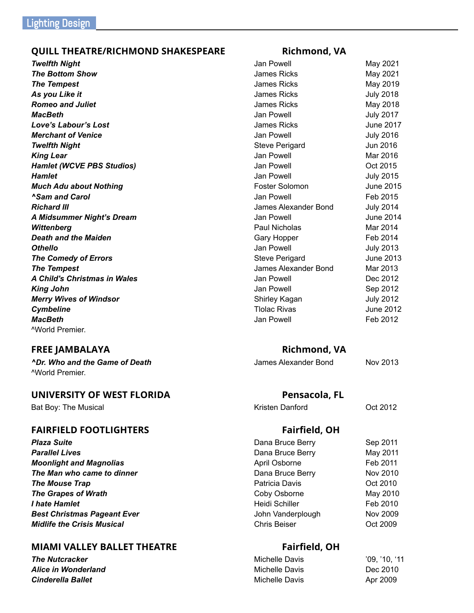### **QUILL THEATRE/RICHMOND SHAKESPEARE Richmond, VA**

### **FREE JAMBALAYA Richmond, VA**

^World Premier.

### **UNIVERSITY OF WEST FLORIDA Pensacola, FL**

Bat Boy: The Musical November 2012 (Campber 2012) Research Musical Activity Artisten Danford Control 2012

### **FAIRFIELD FOOTLIGHTERS Fairfield, OH**

### **MIAMI VALLEY BALLET THEATRE** Fairfield, OH

**The Nutcracker Alice in Wonderland**  $C$ *inderella* Ballet

| <b>Twelfth Night</b>          | Jan Powell            | May 2021         |
|-------------------------------|-----------------------|------------------|
| <b>The Bottom Show</b>        | James Ricks           | May 2021         |
| <b>The Tempest</b>            | <b>James Ricks</b>    | May 2019         |
| As you Like it                | <b>James Ricks</b>    | <b>July 2018</b> |
| <b>Romeo and Juliet</b>       | <b>James Ricks</b>    | May 2018         |
| <b>MacBeth</b>                | Jan Powell            | <b>July 2017</b> |
| Love's Labour's Lost          | James Ricks           | June 2017        |
| <b>Merchant of Venice</b>     | Jan Powell            | <b>July 2016</b> |
| <b>Twelfth Night</b>          | <b>Steve Perigard</b> | Jun 2016         |
| King Lear                     | Jan Powell            | Mar 2016         |
| Hamlet (WCVE PBS Studios)     | Jan Powell            | Oct 2015         |
| Hamlet                        | Jan Powell            | <b>July 2015</b> |
| <b>Much Adu about Nothing</b> | Foster Solomon        | June 2015        |
| <b>^Sam and Carol</b>         | Jan Powell            | Feb 2015         |
| Richard III                   | James Alexander Bond  | <b>July 2014</b> |
| A Midsummer Night's Dream     | Jan Powell            | <b>June 2014</b> |
| Wittenberg                    | Paul Nicholas         | Mar 2014         |
| Death and the Maiden          | Gary Hopper           | Feb 2014         |
| Othello                       | Jan Powell            | <b>July 2013</b> |
| <b>The Comedy of Errors</b>   | <b>Steve Perigard</b> | <b>June 2013</b> |
| <b>The Tempest</b>            | James Alexander Bond  | Mar 2013         |
| A Child's Christmas in Wales  | Jan Powell            | Dec 2012         |
| King John                     | Jan Powell            | Sep 2012         |
| <b>Merry Wives of Windsor</b> | Shirley Kagan         | <b>July 2012</b> |
| <b>Cymbeline</b>              | <b>Tlolac Rivas</b>   | June 2012        |
| MacBeth                       | Jan Powell            | Feb 2012         |
| ^World Premier.               |                       |                  |
|                               |                       |                  |

*^Dr. Who and the Game of Death* James Alexander Bond Nov 2013

**Plaza Suite** Sep 2011 **Parallel Lives** May 2011 **Moonlight and Magnolias April Osborne** April Osborne Feb 2011 **The Man who came to dinner Dana Bruce Berry Nov 2010 The Mouse Trap Patricia Davis Patricia Davis Patricia Davis Patricia Davis Patricia Davis Patricia Davis Patricia Davis Patricia Davis Patricia Davis Patricia Davis Patricia Davis Patricia Davis The Grapes of Wrath Coby Osborne** May 2010 *I* **hate Hamlet Heidi Schiller** Feb 2010 **Best Christmas Pageant Ever Constant 1 Automobile 10 Automobile 10 Automobile 10 Automobile 10 Automobile 10 Automobile 10 Automobile 10 Automobile 10 Automobile 10 Automobile 10 Automobile 10 Automobile 10 Automobile 1** *Midlife the Crisis Musical* Chris Beiser Chris Beiser Chris Beiser Chris Beiser Chris Beiser Chris Beiser Chris Beiser Chris Beiser Chris Beiser Chris Beiser Chris Beiser Chris Beiser Chris Beiser Chris Beiser Chris Bei

| Michelle Davis | '09, '10, '11 |
|----------------|---------------|
| Michelle Davis | Dec 2010      |
| Michelle Davis | Apr 2009      |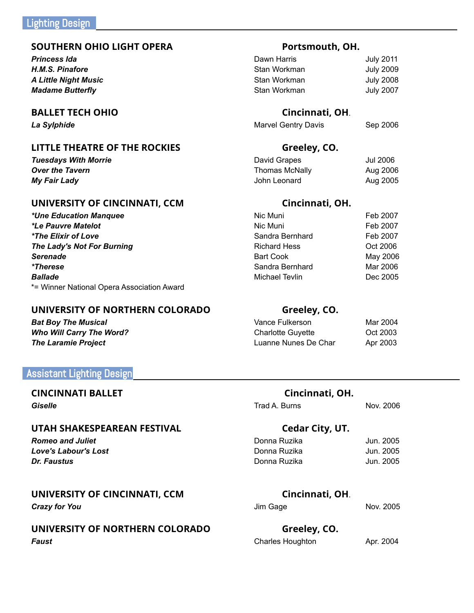### **SOUTHERN OHIO LIGHT OPERA Portsmouth, OH.**

**Princess Ida** *H.M.S. Pinafore* **A Little Night Music Madame Butterfly** 

### **BALLET TECH OHIO Cincinnati, OH**.

**La Sylphide Marvel Gentry Davis** Sep 2006

### **LITTLE THEATRE OF THE ROCKIES Greeley, CO.**

**Tuesdays With Morrie** David Graphs Jul 2006 David 2006 **Over the Tavern** Thomas McNally Aug 2006 The *Tavern My Fair Lady* John Leonard Aug 2005

### **UNIVERSITY OF CINCINNATI, CCM Cincinnati, OH.**

*\*Une Education Manquee*  $*$ Le Pauvre Matelot *\*The Elixir of Love The Lady's Not For Burning* **Serenade** May 2006 **Serenade** Bart Cook **Bart Cook** May 2006 **\*Therese** Mar 2006 Mar 2006 Mar 2006 Mar 2006 *Ballade* Michael Tevlin Dec 2005 \*= Winner National Opera Association Award

### **UNIVERSITY OF NORTHERN COLORADO Greeley, CO.**

**Bat Boy The Musical Who Will Carry The Word? The Laramie Project** 

### Assistant Lighting Design

### **CINCINNATI BALLET Cincinnati, OH.**

### **UTAH SHAKESPEAREAN FESTIVAL Cedar City, UT.**

## **UNIVERSITY OF CINCINNATI, CCM Cincinnati, OH**.

## **UNIVERSITY OF NORTHERN COLORADO Greeley, CO. Faust** Apr. 2004

| Dawn Harris  | <b>July 2011</b> |
|--------------|------------------|
| Stan Workman | <b>July 2009</b> |
| Stan Workman | <b>July 2008</b> |
| Stan Workman | <b>July 2007</b> |

| Jul 2006 |
|----------|
| Aug 2006 |
| Aug 2005 |
|          |

| Nic Muni        | Feb 2007 |
|-----------------|----------|
| Nic Muni        | Feb 2007 |
| Sandra Bernhard | Feb 2007 |
| Richard Hess    | Oct 2006 |
| Bart Cook       | May 2006 |
| Sandra Bernhard | Mar 2006 |
| Michael Tevlin  | Dec 2005 |
|                 |          |

| Vance Fulkerson          | Mar 2004 |
|--------------------------|----------|
| <b>Charlotte Guyette</b> | Oct 2003 |
| Luanne Nunes De Char     | Apr 2003 |

**Giselle** Nov. 2006

| Romeo and Juliet     | Donna Ruzika | Jun. 2005 |
|----------------------|--------------|-----------|
| Love's Labour's Lost | Donna Ruzika | Jun. 2005 |
| Dr. Faustus          | Donna Ruzika | Jun. 2005 |

**Crazy for You** Nov. 2005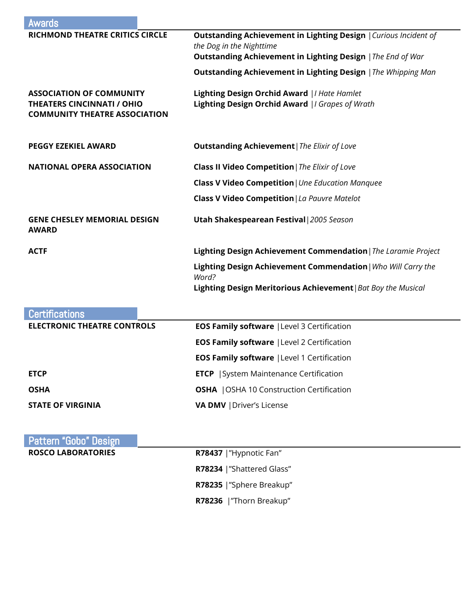| Awards                                                                                                       |                                                                                                  |  |
|--------------------------------------------------------------------------------------------------------------|--------------------------------------------------------------------------------------------------|--|
| <b>RICHMOND THEATRE CRITICS CIRCLE</b>                                                                       | Outstanding Achievement in Lighting Design   Curious Incident of<br>the Dog in the Nighttime     |  |
|                                                                                                              | <b>Outstanding Achievement in Lighting Design   The End of War</b>                               |  |
|                                                                                                              | <b>Outstanding Achievement in Lighting Design</b>   The Whipping Man                             |  |
| <b>ASSOCIATION OF COMMUNITY</b><br><b>THEATERS CINCINNATI / OHIO</b><br><b>COMMUNITY THEATRE ASSOCIATION</b> | Lighting Design Orchid Award   I Hate Hamlet<br>Lighting Design Orchid Award   I Grapes of Wrath |  |
| <b>PEGGY EZEKIEL AWARD</b>                                                                                   | <b>Outstanding Achievement</b>   The Elixir of Love                                              |  |
| <b>NATIONAL OPERA ASSOCIATION</b>                                                                            | <b>Class II Video Competition</b>   The Elixir of Love                                           |  |
|                                                                                                              | <b>Class V Video Competition</b>   Une Education Manquee                                         |  |
|                                                                                                              | Class V Video Competition   La Pauvre Matelot                                                    |  |
| <b>GENE CHESLEY MEMORIAL DESIGN</b><br><b>AWARD</b>                                                          | <b>Utah Shakespearean Festival</b> 2005 Season                                                   |  |
| <b>ACTF</b>                                                                                                  | Lighting Design Achievement Commendation   The Laramie Project                                   |  |
|                                                                                                              | Lighting Design Achievement Commendation   Who Will Carry the<br>Word?                           |  |
|                                                                                                              | Lighting Design Meritorious Achievement   Bat Boy the Musical                                    |  |

| <b>Certifications</b>              |                                                    |
|------------------------------------|----------------------------------------------------|
| <b>ELECTRONIC THEATRE CONTROLS</b> | <b>EOS Family software   Level 3 Certification</b> |
|                                    | <b>EOS Family software   Level 2 Certification</b> |
|                                    | <b>EOS Family software   Level 1 Certification</b> |
| <b>ETCP</b>                        | <b>ETCP</b>   System Maintenance Certification     |
| <b>OSHA</b>                        | <b>OSHA</b>   OSHA 10 Construction Certification   |
| <b>STATE OF VIRGINIA</b>           | <b>VA DMV</b>   Driver's License                   |

| <b>Pattern "Gobo" Design</b> |                           |  |
|------------------------------|---------------------------|--|
| <b>ROSCO LABORATORIES</b>    | R78437   "Hypnotic Fan"   |  |
|                              | R78234  "Shattered Glass" |  |
|                              | R78235  "Sphere Breakup"  |  |
|                              | R78236   "Thorn Breakup"  |  |